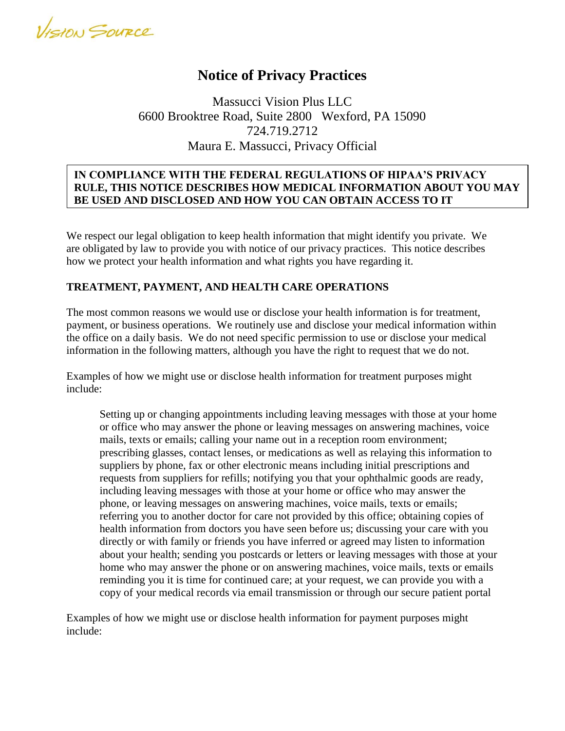VISION SOURCE

# **Notice of Privacy Practices**

Massucci Vision Plus LLC 6600 Brooktree Road, Suite 2800 Wexford, PA 15090 724.719.2712 Maura E. Massucci, Privacy Official

## **IN COMPLIANCE WITH THE FEDERAL REGULATIONS OF HIPAA'S PRIVACY RULE, THIS NOTICE DESCRIBES HOW MEDICAL INFORMATION ABOUT YOU MAY BE USED AND DISCLOSED AND HOW YOU CAN OBTAIN ACCESS TO IT**

We respect our legal obligation to keep health information that might identify you private. We are obligated by law to provide you with notice of our privacy practices. This notice describes how we protect your health information and what rights you have regarding it.

## **TREATMENT, PAYMENT, AND HEALTH CARE OPERATIONS**

**iTINFORMATION. PLEASE REVIEW IT CAREFULLY**

The most common reasons we would use or disclose your health information is for treatment, payment, or business operations. We routinely use and disclose your medical information within the office on a daily basis. We do not need specific permission to use or disclose your medical information in the following matters, although you have the right to request that we do not.

Examples of how we might use or disclose health information for treatment purposes might include:

Setting up or changing appointments including leaving messages with those at your home or office who may answer the phone or leaving messages on answering machines, voice mails, texts or emails; calling your name out in a reception room environment; prescribing glasses, contact lenses, or medications as well as relaying this information to suppliers by phone, fax or other electronic means including initial prescriptions and requests from suppliers for refills; notifying you that your ophthalmic goods are ready, including leaving messages with those at your home or office who may answer the phone, or leaving messages on answering machines, voice mails, texts or emails; referring you to another doctor for care not provided by this office; obtaining copies of health information from doctors you have seen before us; discussing your care with you directly or with family or friends you have inferred or agreed may listen to information about your health; sending you postcards or letters or leaving messages with those at your home who may answer the phone or on answering machines, voice mails, texts or emails reminding you it is time for continued care; at your request, we can provide you with a copy of your medical records via email transmission or through our secure patient portal

Examples of how we might use or disclose health information for payment purposes might include: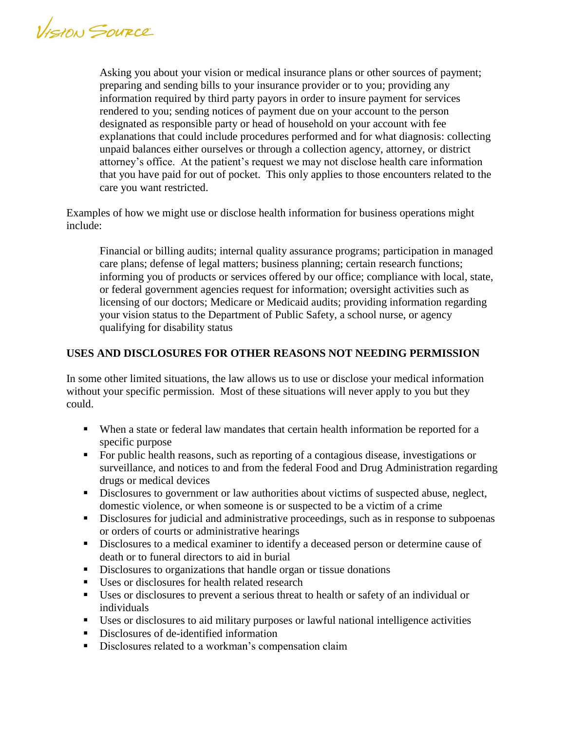VISION SOURCE

Asking you about your vision or medical insurance plans or other sources of payment; preparing and sending bills to your insurance provider or to you; providing any information required by third party payors in order to insure payment for services rendered to you; sending notices of payment due on your account to the person designated as responsible party or head of household on your account with fee explanations that could include procedures performed and for what diagnosis: collecting unpaid balances either ourselves or through a collection agency, attorney, or district attorney's office. At the patient's request we may not disclose health care information that you have paid for out of pocket. This only applies to those encounters related to the care you want restricted.

Examples of how we might use or disclose health information for business operations might include:

Financial or billing audits; internal quality assurance programs; participation in managed care plans; defense of legal matters; business planning; certain research functions; informing you of products or services offered by our office; compliance with local, state, or federal government agencies request for information; oversight activities such as licensing of our doctors; Medicare or Medicaid audits; providing information regarding your vision status to the Department of Public Safety, a school nurse, or agency qualifying for disability status

## **USES AND DISCLOSURES FOR OTHER REASONS NOT NEEDING PERMISSION**

In some other limited situations, the law allows us to use or disclose your medical information without your specific permission. Most of these situations will never apply to you but they could.

- When a state or federal law mandates that certain health information be reported for a specific purpose
- For public health reasons, such as reporting of a contagious disease, investigations or surveillance, and notices to and from the federal Food and Drug Administration regarding drugs or medical devices
- Disclosures to government or law authorities about victims of suspected abuse, neglect, domestic violence, or when someone is or suspected to be a victim of a crime
- Disclosures for judicial and administrative proceedings, such as in response to subpoenas or orders of courts or administrative hearings
- Disclosures to a medical examiner to identify a deceased person or determine cause of death or to funeral directors to aid in burial
- Disclosures to organizations that handle organ or tissue donations
- Uses or disclosures for health related research
- Uses or disclosures to prevent a serious threat to health or safety of an individual or individuals
- Uses or disclosures to aid military purposes or lawful national intelligence activities
- Disclosures of de-identified information
- Disclosures related to a workman's compensation claim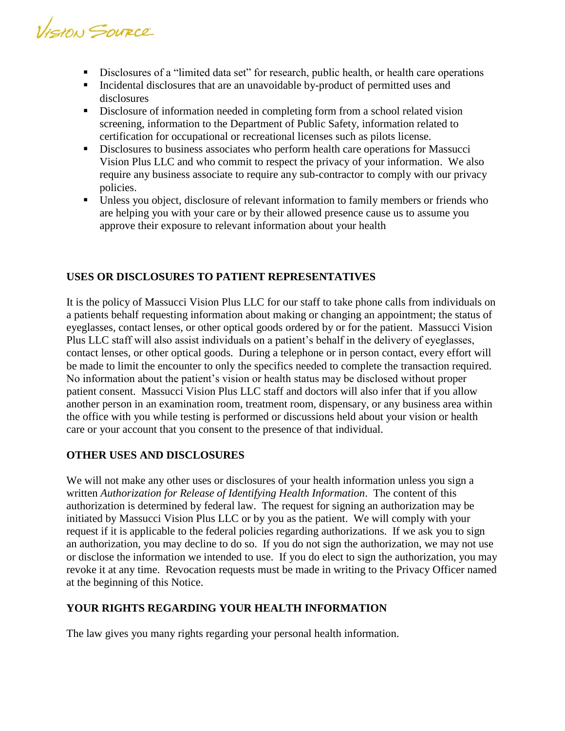VISION SOURCE

- Disclosures of a "limited data set" for research, public health, or health care operations
- Incidental disclosures that are an unavoidable by-product of permitted uses and disclosures
- **Disclosure of information needed in completing form from a school related vision** screening, information to the Department of Public Safety, information related to certification for occupational or recreational licenses such as pilots license.
- Disclosures to business associates who perform health care operations for Massucci Vision Plus LLC and who commit to respect the privacy of your information. We also require any business associate to require any sub-contractor to comply with our privacy policies.
- Unless you object, disclosure of relevant information to family members or friends who are helping you with your care or by their allowed presence cause us to assume you approve their exposure to relevant information about your health

## **USES OR DISCLOSURES TO PATIENT REPRESENTATIVES**

It is the policy of Massucci Vision Plus LLC for our staff to take phone calls from individuals on a patients behalf requesting information about making or changing an appointment; the status of eyeglasses, contact lenses, or other optical goods ordered by or for the patient. Massucci Vision Plus LLC staff will also assist individuals on a patient's behalf in the delivery of eyeglasses, contact lenses, or other optical goods. During a telephone or in person contact, every effort will be made to limit the encounter to only the specifics needed to complete the transaction required. No information about the patient's vision or health status may be disclosed without proper patient consent. Massucci Vision Plus LLC staff and doctors will also infer that if you allow another person in an examination room, treatment room, dispensary, or any business area within the office with you while testing is performed or discussions held about your vision or health care or your account that you consent to the presence of that individual.

#### **OTHER USES AND DISCLOSURES**

We will not make any other uses or disclosures of your health information unless you sign a written *Authorization for Release of Identifying Health Information*. The content of this authorization is determined by federal law. The request for signing an authorization may be initiated by Massucci Vision Plus LLC or by you as the patient. We will comply with your request if it is applicable to the federal policies regarding authorizations. If we ask you to sign an authorization, you may decline to do so. If you do not sign the authorization, we may not use or disclose the information we intended to use. If you do elect to sign the authorization, you may revoke it at any time. Revocation requests must be made in writing to the Privacy Officer named at the beginning of this Notice.

#### **YOUR RIGHTS REGARDING YOUR HEALTH INFORMATION**

The law gives you many rights regarding your personal health information.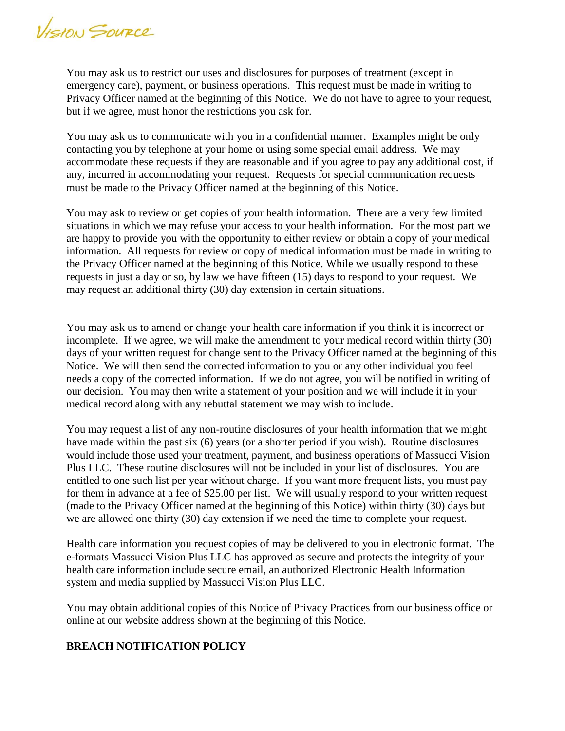VISION SOURCE

You may ask us to restrict our uses and disclosures for purposes of treatment (except in emergency care), payment, or business operations. This request must be made in writing to Privacy Officer named at the beginning of this Notice. We do not have to agree to your request, but if we agree, must honor the restrictions you ask for.

You may ask us to communicate with you in a confidential manner. Examples might be only contacting you by telephone at your home or using some special email address. We may accommodate these requests if they are reasonable and if you agree to pay any additional cost, if any, incurred in accommodating your request. Requests for special communication requests must be made to the Privacy Officer named at the beginning of this Notice.

You may ask to review or get copies of your health information. There are a very few limited situations in which we may refuse your access to your health information. For the most part we are happy to provide you with the opportunity to either review or obtain a copy of your medical information. All requests for review or copy of medical information must be made in writing to the Privacy Officer named at the beginning of this Notice. While we usually respond to these requests in just a day or so, by law we have fifteen (15) days to respond to your request. We may request an additional thirty (30) day extension in certain situations.

You may ask us to amend or change your health care information if you think it is incorrect or incomplete. If we agree, we will make the amendment to your medical record within thirty (30) days of your written request for change sent to the Privacy Officer named at the beginning of this Notice. We will then send the corrected information to you or any other individual you feel needs a copy of the corrected information. If we do not agree, you will be notified in writing of our decision. You may then write a statement of your position and we will include it in your medical record along with any rebuttal statement we may wish to include.

You may request a list of any non-routine disclosures of your health information that we might have made within the past six (6) years (or a shorter period if you wish). Routine disclosures would include those used your treatment, payment, and business operations of Massucci Vision Plus LLC. These routine disclosures will not be included in your list of disclosures. You are entitled to one such list per year without charge. If you want more frequent lists, you must pay for them in advance at a fee of \$25.00 per list. We will usually respond to your written request (made to the Privacy Officer named at the beginning of this Notice) within thirty (30) days but we are allowed one thirty (30) day extension if we need the time to complete your request.

Health care information you request copies of may be delivered to you in electronic format. The e-formats Massucci Vision Plus LLC has approved as secure and protects the integrity of your health care information include secure email, an authorized Electronic Health Information system and media supplied by Massucci Vision Plus LLC.

You may obtain additional copies of this Notice of Privacy Practices from our business office or online at our website address shown at the beginning of this Notice.

#### **BREACH NOTIFICATION POLICY**